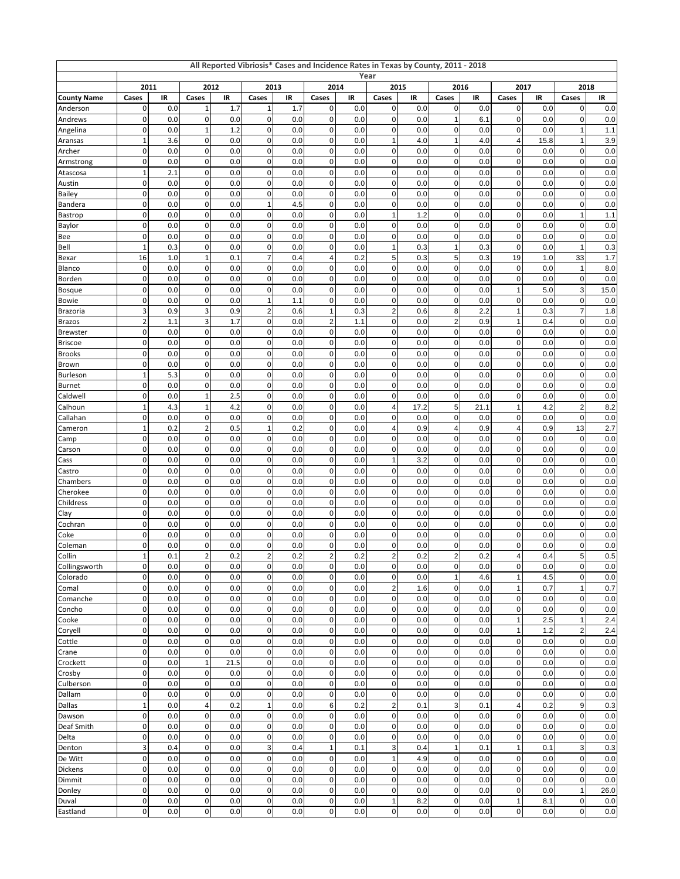| All Reported Vibriosis* Cases and Incidence Rates in Texas by County, 2011 - 2018<br>Year |                            |            |                        |            |                          |            |                          |            |                                      |             |                            |             |                |            |                         |             |
|-------------------------------------------------------------------------------------------|----------------------------|------------|------------------------|------------|--------------------------|------------|--------------------------|------------|--------------------------------------|-------------|----------------------------|-------------|----------------|------------|-------------------------|-------------|
|                                                                                           | 2011                       |            |                        | 2012       |                          | 2013       | 2014                     |            |                                      | 2015        | 2016                       |             |                | 2017       | 2018                    |             |
| <b>County Name</b>                                                                        | Cases                      | IR         | Cases                  | IR         | Cases                    | IR         | Cases                    | IR         | Cases                                | IR          | Cases                      | IR          | Cases          | IR         | Cases                   | IR          |
| Anderson                                                                                  | 0                          | 0.0        | 1                      | 1.7        | $\mathbf{1}$             | 1.7        | $\mathbf 0$              | 0.0        | $\pmb{0}$                            | 0.0         | $\mathbf 0$                | 0.0         | 0              | 0.0        | 0                       | 0.0         |
| Andrews                                                                                   | 0                          | 0.0        | 0                      | 0.0        | $\mathsf 0$              | 0.0        | $\mathbf 0$              | 0.0        | $\mathbf 0$                          | 0.0         | $\mathbf{1}$               | 6.1         | 0              | 0.0        | 0                       | 0.0         |
| Angelina                                                                                  | 0                          | 0.0        | $\mathbf 1$            | 1.2        | $\pmb{0}$                | 0.0        | $\pmb{0}$                | 0.0        | $\pmb{0}$                            | 0.0         | 0                          | 0.0         | 0              | 0.0        | 1                       | 1.1         |
| Aransas                                                                                   | $\mathbf{1}$               | 3.6        | $\pmb{0}$              | 0.0        | $\pmb{0}$                | 0.0        | $\mathbf 0$              | 0.0        | 1                                    | 4.0         | $\mathbf{1}$               | 4.0         | 4              | 15.8       | 1                       | 3.9         |
| Archer                                                                                    | 0<br>$\mathbf 0$           | 0.0<br>0.0 | 0<br>$\pmb{0}$         | 0.0<br>0.0 | $\pmb{0}$<br>$\pmb{0}$   | 0.0<br>0.0 | $\pmb{0}$<br>$\pmb{0}$   | 0.0<br>0.0 | $\pmb{0}$<br>$\pmb{0}$               | 0.0<br>0.0  | $\mathbf 0$<br>$\mathbf 0$ | 0.0<br>0.0  | 0<br>0         | 0.0<br>0.0 | 0<br>0                  | 0.0<br>0.0  |
| Armstrong<br>Atascosa                                                                     | $\mathbf{1}$               | 2.1        | 0                      | 0.0        | $\pmb{0}$                | 0.0        | $\pmb{0}$                | 0.0        | $\pmb{0}$                            | 0.0         | $\mathbf 0$                | 0.0         | 0              | 0.0        | 0                       | 0.0         |
| Austin                                                                                    | 0                          | 0.0        | 0                      | 0.0        | $\pmb{0}$                | 0.0        | $\pmb{0}$                | 0.0        | $\pmb{0}$                            | 0.0         | $\mathbf 0$                | 0.0         | 0              | 0.0        | 0                       | 0.0         |
| <b>Bailey</b>                                                                             | $\mathbf 0$                | 0.0        | $\mathbf 0$            | 0.0        | $\pmb{0}$                | 0.0        | $\mathbf 0$              | 0.0        | $\pmb{0}$                            | 0.0         | $\mathbf 0$                | 0.0         | 0              | 0.0        | $\overline{0}$          | 0.0         |
| <b>Bandera</b>                                                                            | $\mathbf 0$                | 0.0        | 0                      | 0.0        | $\mathbf{1}$             | 4.5        | $\pmb{0}$                | 0.0        | 0                                    | 0.0         | 0                          | 0.0         | 0              | 0.0        | 0                       | 0.0         |
| Bastrop                                                                                   | $\mathbf 0$                | 0.0        | $\pmb{0}$              | 0.0        | $\pmb{0}$                | 0.0        | $\pmb{0}$                | 0.0        | 1                                    | 1.2         | $\mathbf 0$                | 0.0         | 0              | 0.0        | 1                       | 1.1         |
| Baylor                                                                                    | 0                          | 0.0        | 0                      | 0.0        | $\mathbf 0$              | 0.0        | $\pmb{0}$                | 0.0        | $\pmb{0}$                            | 0.0         | $\mathbf 0$                | 0.0         | 0              | 0.0        | 0                       | 0.0         |
| Bee                                                                                       | 0                          | 0.0        | 0                      | 0.0        | $\pmb{0}$                | 0.0        | $\pmb{0}$                | 0.0        | $\pmb{0}$                            | 0.0         | $\mathbf 0$                | 0.0         | 0              | 0.0        | 0                       | 0.0         |
| Bell                                                                                      | $\mathbf{1}$               | 0.3        | 0                      | 0.0        | $\mathbf 0$              | 0.0        | $\mathbf 0$              | 0.0        | 1                                    | 0.3         | $\mathbf{1}$               | 0.3         | 0              | 0.0        | 1                       | 0.3         |
| Bexar                                                                                     | 16                         | 1.0        | $\mathbf 1$            | 0.1        | $\overline{7}$           | 0.4        | 4                        | 0.2        | 5                                    | 0.3         | 5                          | 0.3         | 19             | 1.0        | 33                      | 1.7         |
| <b>Blanco</b>                                                                             | $\mathbf 0$<br>0           | 0.0        | $\pmb{0}$<br>0         | 0.0<br>0.0 | $\pmb{0}$<br>$\pmb{0}$   | 0.0<br>0.0 | $\pmb{0}$<br>$\pmb{0}$   | 0.0        | $\pmb{0}$<br>$\pmb{0}$               | 0.0<br>0.0  | $\mathbf 0$<br>$\mathbf 0$ | 0.0<br>0.0  | $\pmb{0}$      | 0.0        | 1<br>0                  | 8.0         |
| Borden<br>Bosque                                                                          | 0                          | 0.0<br>0.0 | 0                      | 0.0        | $\pmb{0}$                | 0.0        | $\pmb{0}$                | 0.0<br>0.0 | $\pmb{0}$                            | 0.0         | $\mathbf 0$                | 0.0         | 0<br>1         | 0.0<br>5.0 | 3                       | 0.0<br>15.0 |
| Bowie                                                                                     | $\mathbf 0$                | 0.0        | 0                      | 0.0        | $\mathbf{1}$             | 1.1        | $\pmb{0}$                | 0.0        | $\pmb{0}$                            | 0.0         | $\mathbf 0$                | 0.0         | 0              | 0.0        | $\mathbf 0$             | 0.0         |
| Brazoria                                                                                  | 3                          | 0.9        | 3                      | 0.9        | $\mathbf 2$              | 0.6        | $\mathbf{1}$             | 0.3        | $\overline{\mathbf{c}}$              | 0.6         | 8                          | 2.2         | 1              | 0.3        | 7                       | 1.8         |
| <b>Brazos</b>                                                                             | $\overline{\mathbf{c}}$    | 1.1        | 3                      | 1.7        | $\pmb{0}$                | 0.0        | $\overline{\mathbf{c}}$  | 1.1        | $\pmb{0}$                            | 0.0         | $\overline{c}$             | 0.9         | 1              | 0.4        | 0                       | 0.0         |
| <b>Brewster</b>                                                                           | 0                          | 0.0        | 0                      | 0.0        | $\mathbf 0$              | 0.0        | $\pmb{0}$                | 0.0        | $\pmb{0}$                            | 0.0         | $\mathbf 0$                | 0.0         | 0              | 0.0        | 0                       | 0.0         |
| <b>Briscoe</b>                                                                            | 0                          | 0.0        | 0                      | 0.0        | $\pmb{0}$                | 0.0        | $\pmb{0}$                | 0.0        | $\pmb{0}$                            | 0.0         | $\mathbf 0$                | 0.0         | 0              | 0.0        | 0                       | 0.0         |
| <b>Brooks</b>                                                                             | $\mathbf 0$                | 0.0        | $\mathbf 0$            | 0.0        | $\mathsf 0$              | 0.0        | $\mathbf 0$              | 0.0        | $\pmb{0}$                            | 0.0         | $\mathbf 0$                | 0.0         | 0              | 0.0        | $\mathbf 0$             | 0.0         |
| Brown                                                                                     | $\mathbf 0$                | 0.0        | 0                      | 0.0        | $\pmb{0}$                | 0.0        | $\pmb{0}$                | 0.0        | $\pmb{0}$                            | 0.0         | 0                          | 0.0         | 0              | 0.0        | 0                       | 0.0         |
| <b>Burleson</b>                                                                           | $\mathbf{1}$               | 5.3        | $\pmb{0}$              | 0.0        | $\pmb{0}$                | 0.0        | $\pmb{0}$                | 0.0        | $\pmb{0}$                            | 0.0         | $\mathbf 0$                | 0.0         | 0              | 0.0        | 0                       | 0.0         |
| <b>Burnet</b>                                                                             | 0                          | 0.0        | 0                      | 0.0        | $\pmb{0}$                | 0.0        | $\pmb{0}$                | 0.0        | $\pmb{0}$                            | 0.0         | $\mathbf 0$                | 0.0         | 0              | 0.0        | 0                       | 0.0         |
| Caldwell                                                                                  | 0                          | 0.0        | $\mathbf 1$            | 2.5        | $\pmb{0}$                | 0.0        | $\pmb{0}$                | 0.0        | $\pmb{0}$                            | 0.0         | $\mathbf 0$                | 0.0         | 0              | 0.0        | 0                       | 0.0         |
| Calhoun                                                                                   | $\overline{1}$<br>0        | 4.3<br>0.0 | $\mathbf 1$<br>0       | 4.2<br>0.0 | $\mathbf 0$<br>$\pmb{0}$ | 0.0<br>0.0 | $\pmb{0}$<br>$\pmb{0}$   | 0.0<br>0.0 | $\overline{\mathbf{4}}$<br>$\pmb{0}$ | 17.2<br>0.0 | $\sqrt{5}$<br>0            | 21.1<br>0.0 | 1<br>0         | 4.2<br>0.0 | $\overline{c}$<br>0     | 8.2<br>0.0  |
| Callahan<br>Cameron                                                                       | $\mathbf{1}$               | 0.2        | $\mathbf 2$            | 0.5        | $\mathbf{1}$             | 0.2        | $\mathbf 0$              | 0.0        | 4                                    | 0.9         | $\overline{4}$             | 0.9         | 4              | 0.9        | 13                      | 2.7         |
| Camp                                                                                      | 0                          | 0.0        | 0                      | 0.0        | $\pmb{0}$                | 0.0        | $\pmb{0}$                | 0.0        | $\pmb{0}$                            | 0.0         | $\mathbf 0$                | 0.0         | 0              | 0.0        | 0                       | 0.0         |
| Carson                                                                                    | 0                          | 0.0        | 0                      | 0.0        | $\pmb{0}$                | 0.0        | $\pmb{0}$                | 0.0        | $\pmb{0}$                            | 0.0         | $\mathbf 0$                | 0.0         | 0              | 0.0        | 0                       | 0.0         |
| Cass                                                                                      | $\mathbf 0$                | 0.0        | $\mathbf 0$            | 0.0        | $\mathbf 0$              | 0.0        | $\mathbf 0$              | 0.0        | $\mathbf{1}$                         | 3.2         | $\mathbf 0$                | 0.0         | 0              | 0.0        | $\mathbf 0$             | 0.0         |
| Castro                                                                                    | $\mathbf 0$                | 0.0        | 0                      | 0.0        | $\pmb{0}$                | 0.0        | $\pmb{0}$                | 0.0        | $\pmb{0}$                            | 0.0         | 0                          | 0.0         | 0              | 0.0        | 0                       | 0.0         |
| Chambers                                                                                  | $\mathbf 0$                | 0.0        | $\pmb{0}$              | 0.0        | $\pmb{0}$                | 0.0        | $\pmb{0}$                | 0.0        | $\pmb{0}$                            | 0.0         | $\mathbf 0$                | 0.0         | 0              | 0.0        | 0                       | 0.0         |
| Cherokee                                                                                  | 0                          | 0.0        | $\pmb{0}$              | 0.0        | $\pmb{0}$                | 0.0        | $\pmb{0}$                | 0.0        | $\pmb{0}$                            | 0.0         | $\mathbf 0$                | 0.0         | 0              | 0.0        | 0                       | 0.0         |
| Childress                                                                                 | 0                          | 0.0        | $\pmb{0}$              | 0.0        | $\pmb{0}$                | 0.0        | $\pmb{0}$                | 0.0        | $\pmb{0}$                            | 0.0         | $\mathbf 0$                | 0.0         | 0              | 0.0        | 0                       | 0.0         |
| Clay                                                                                      | $\mathbf 0$                | 0.0        | 0                      | 0.0        | $\mathbf 0$              | 0.0        | $\mathbf 0$              | 0.0        | $\pmb{0}$                            | 0.0         | $\mathbf 0$                | 0.0         | 0              | 0.0        | $\mathbf 0$             | 0.0         |
| Cochran                                                                                   | 0<br>$\mathbf 0$           | 0.0<br>0.0 | 0<br>0                 | 0.0<br>0.0 | $\pmb{0}$<br>$\pmb{0}$   | 0.0<br>0.0 | $\pmb{0}$<br>$\mathbf 0$ | 0.0<br>0.0 | 0<br>$\pmb{0}$                       | 0.0<br>0.0  | $\mathbf 0$<br>$\mathbf 0$ | 0.0<br>0.0  | 0<br>0         | 0.0<br>0.0 | 0<br>$\mathbf 0$        | 0.0         |
| Coke<br>Coleman                                                                           | 0                          | 0.0        | 0                      | 0.0        | $\mathbf 0$              | 0.0        | $\mathbf 0$              | 0.0        | 0                                    | 0.0         | 0                          | 0.0         | 0              | 0.0        | 0                       | 0.0<br>0.0  |
| Collin                                                                                    | $\mathbf{1}$               | 0.1        | $\overline{2}$         | 0.2        | $\overline{2}$           | 0.2        | $\overline{2}$           | 0.2        | 2                                    | 0.2         | $\overline{2}$             | 0.2         | 4              | 0.4        | 5                       | 0.5         |
| Collingsworth                                                                             | $\pmb{0}$                  | 0.0        | $\pmb{0}$              | 0.0        | $\pmb{0}$                | 0.0        | $\pmb{0}$                | 0.0        | $\pmb{0}$                            | 0.0         | $\pmb{0}$                  | 0.0         | 0              | 0.0        | 0                       | 0.0         |
| Colorado                                                                                  | $\pmb{0}$                  | 0.0        | $\pmb{0}$              | 0.0        | $\mathsf 0$              | 0.0        | $\pmb{0}$                | 0.0        | $\mathbf 0$                          | 0.0         | $\mathbf{1}$               | 4.6         | $\mathbf{1}$   | 4.5        | 0                       | 0.0         |
| Comal                                                                                     | $\pmb{0}$                  | $0.0\,$    | $\pmb{0}$              | 0.0        | $\pmb{0}$                | 0.0        | $\pmb{0}$                | 0.0        | $\boldsymbol{2}$                     | 1.6         | $\pmb{0}$                  | 0.0         | $\mathbf{1}$   | 0.7        | $\mathbf{1}$            | 0.7         |
| Comanche                                                                                  | $\pmb{0}$                  | 0.0        | $\pmb{0}$              | 0.0        | $\mathsf 0$              | 0.0        | $\pmb{0}$                | 0.0        | $\pmb{0}$                            | 0.0         | $\mathbf 0$                | 0.0         | $\pmb{0}$      | 0.0        | 0                       | 0.0         |
| Concho                                                                                    | $\mathbf 0$                | 0.0        | $\pmb{0}$              | 0.0        | $\pmb{0}$                | 0.0        | $\pmb{0}$                | 0.0        | $\pmb{0}$                            | 0.0         | $\pmb{0}$                  | 0.0         | $\pmb{0}$      | 0.0        | 0                       | 0.0         |
| Cooke                                                                                     | $\mathbf 0$                | 0.0        | $\pmb{0}$              | 0.0        | $\mathbf 0$              | 0.0        | $\pmb{0}$                | 0.0        | $\mathbf 0$                          | 0.0         | $\mathbf 0$                | 0.0         | $\mathbf{1}$   | 2.5        | $\mathbf{1}$            | 2.4         |
| Coryell                                                                                   | $\pmb{0}$                  | 0.0        | $\pmb{0}$              | 0.0        | $\pmb{0}$                | 0.0        | $\mathbf 0$<br>$\pmb{0}$ | 0.0        | $\mathbf 0$                          | 0.0         | $\mathbf 0$                | 0.0         | 1              | 1.2        | $\overline{\mathbf{c}}$ | 2.4         |
| Cottle                                                                                    | $\pmb{0}$<br>$\mathbf 0$   | 0.0<br>0.0 | $\pmb{0}$<br>$\pmb{0}$ | 0.0<br>0.0 | $\mathsf 0$<br>$\pmb{0}$ | 0.0<br>0.0 | $\pmb{0}$                | 0.0<br>0.0 | $\mathbf 0$<br>$\pmb{0}$             | 0.0<br>0.0  | $\pmb{0}$<br>$\mathbf 0$   | 0.0<br>0.0  | $\pmb{0}$<br>0 | 0.0<br>0.0 | $\mathbf 0$<br>0        | 0.0<br>0.0  |
| Crane<br>Crockett                                                                         | $\mathbf 0$                | 0.0        | $\mathbf 1$            | 21.5       | $\pmb{0}$                | 0.0        | $\pmb{0}$                | 0.0        | $\pmb{0}$                            | 0.0         | $\pmb{0}$                  | 0.0         | $\pmb{0}$      | 0.0        | 0                       | 0.0         |
| Crosby                                                                                    | $\mathbf 0$                | 0.0        | $\pmb{0}$              | 0.0        | $\mathbf 0$              | 0.0        | $\pmb{0}$                | 0.0        | $\mathbf 0$                          | 0.0         | $\mathbf 0$                | 0.0         | $\pmb{0}$      | 0.0        | $\pmb{0}$               | 0.0         |
| Culberson                                                                                 | $\pmb{0}$                  | 0.0        | $\pmb{0}$              | 0.0        | $\mathsf 0$              | 0.0        | $\pmb{0}$                | 0.0        | $\mathbf 0$                          | 0.0         | $\mathbf 0$                | 0.0         | 0              | 0.0        | 0                       | 0.0         |
| Dallam                                                                                    | $\pmb{0}$                  | 0.0        | $\pmb{0}$              | 0.0        | $\mathsf{O}\xspace$      | 0.0        | $\pmb{0}$                | 0.0        | $\mathbf 0$                          | 0.0         | $\pmb{0}$                  | 0.0         | $\mathbf 0$    | 0.0        | 0                       | 0.0         |
| Dallas                                                                                    | $\mathbf 1$                | 0.0        | $\pmb{4}$              | 0.2        | $\mathbf{1}$             | 0.0        | 6                        | 0.2        | $\boldsymbol{2}$                     | 0.1         | $\sqrt{3}$                 | 0.1         | 4              | 0.2        | 9                       | 0.3         |
| Dawson                                                                                    | $\pmb{0}$                  | 0.0        | $\pmb{0}$              | 0.0        | $\pmb{0}$                | 0.0        | $\pmb{0}$                | 0.0        | $\pmb{0}$                            | 0.0         | $\pmb{0}$                  | 0.0         | $\pmb{0}$      | 0.0        | 0                       | 0.0         |
| Deaf Smith                                                                                | $\mathbf 0$                | 0.0        | $\pmb{0}$              | 0.0        | $\pmb{0}$                | 0.0        | $\pmb{0}$                | 0.0        | $\mathbf 0$                          | 0.0         | $\mathbf 0$                | 0.0         | $\pmb{0}$      | 0.0        | $\pmb{0}$               | 0.0         |
| Delta                                                                                     | $\pmb{0}$                  | 0.0        | $\pmb{0}$              | 0.0        | $\pmb{0}$                | 0.0        | $\mathbf 0$              | 0.0        | $\mathbf 0$                          | 0.0         | $\pmb{0}$                  | 0.0         | 0              | 0.0        | 0                       | 0.0         |
| Denton                                                                                    | 3                          | 0.4        | $\pmb{0}$              | 0.0        | $\mathsf 3$              | 0.4        | $\mathbf{1}$             | 0.1        | $\ensuremath{\mathsf{3}}$            | 0.4         | $\mathbf{1}$               | 0.1         | $\mathbf{1}$   | 0.1        | 3                       | 0.3         |
| De Witt                                                                                   | $\mathbf 0$                | 0.0        | $\pmb{0}$              | 0.0        | $\pmb{0}$                | 0.0        | $\pmb{0}$                | 0.0        | $\mathbf{1}$                         | 4.9         | $\mathbf 0$                | 0.0         | 0              | 0.0        | 0                       | 0.0         |
| Dickens                                                                                   | $\mathbf 0$<br>$\mathbf 0$ | 0.0        | $\pmb{0}$<br>$\pmb{0}$ | 0.0<br>0.0 | $\pmb{0}$<br>$\mathsf 0$ | 0.0<br>0.0 | $\pmb{0}$<br>$\pmb{0}$   | 0.0<br>0.0 | $\pmb{0}$<br>$\mathbf 0$             | 0.0<br>0.0  | $\mathbf 0$<br>$\mathbf 0$ | 0.0<br>0.0  | 0<br>$\pmb{0}$ | 0.0        | 0<br>$\pmb{0}$          | 0.0         |
| Dimmit<br>Donley                                                                          | $\pmb{0}$                  | 0.0<br>0.0 | $\pmb{0}$              | 0.0        | $\mathsf 0$              | 0.0        | $\pmb{0}$                | 0.0        | $\mathbf 0$                          | 0.0         | $\mathbf 0$                | 0.0         | 0              | 0.0<br>0.0 | $\mathbf{1}$            | 0.0<br>26.0 |
| Duval                                                                                     | $\pmb{0}$                  | 0.0        | $\pmb{0}$              | 0.0        | $\mathsf{O}\xspace$      | 0.0        | $\pmb{0}$                | 0.0        | $\mathbf{1}$                         | 8.2         | $\pmb{0}$                  | 0.0         | $\mathbf{1}$   | 8.1        | $\mathbf 0$             | 0.0         |
| Eastland                                                                                  | $\pmb{0}$                  | 0.0        | $\pmb{0}$              | 0.0        | $\pmb{0}$                | 0.0        | $\pmb{0}$                | 0.0        | $\mathbf 0$                          | 0.0         | $\mathbf 0$                | 0.0         | 0              | 0.0        | $\mathbf 0$             | $0.0\,$     |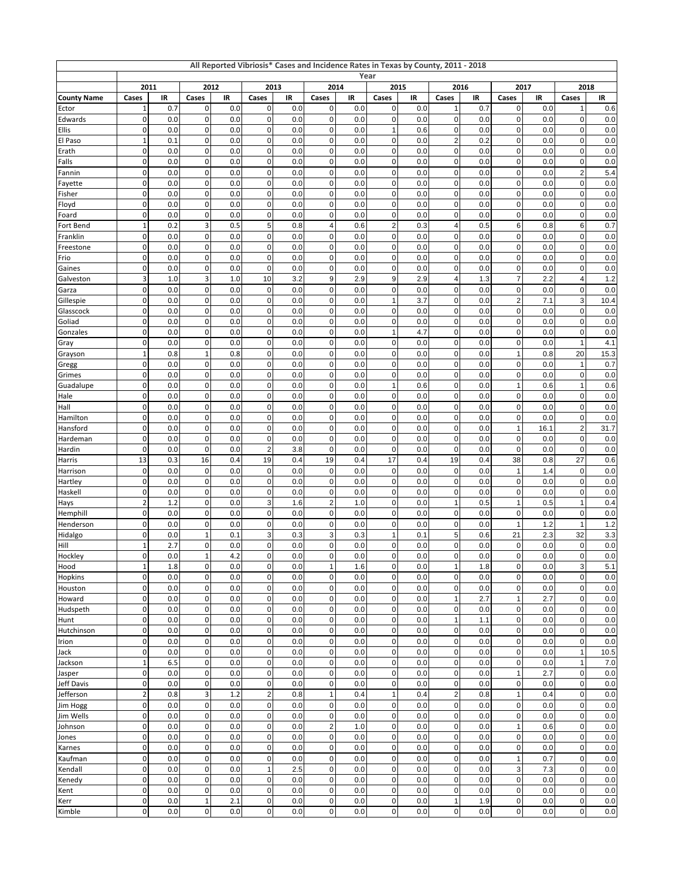| All Reported Vibriosis* Cases and Incidence Rates in Texas by County, 2011 - 2018<br>Year |                               |            |                          |            |                                  |            |                                        |            |                          |            |                             |            |                   |            |                         |            |
|-------------------------------------------------------------------------------------------|-------------------------------|------------|--------------------------|------------|----------------------------------|------------|----------------------------------------|------------|--------------------------|------------|-----------------------------|------------|-------------------|------------|-------------------------|------------|
|                                                                                           |                               | 2011       |                          | 2012       | 2013                             |            |                                        | 2014       |                          | 2015       | 2016                        |            | 2017              | 2018       |                         |            |
| <b>County Name</b>                                                                        | Cases                         | IR         | Cases                    | IR         | Cases                            | IR         | Cases                                  | IR         | Cases                    | IR         | Cases                       | IR         | Cases             | IR         | Cases                   | IR         |
| Ector                                                                                     | $\mathbf 1$                   | 0.7        | $\pmb{0}$                | 0.0        | 0                                | 0.0        | $\pmb{0}$                              | 0.0        | $\mathbf 0$              | 0.0        | $\mathbf{1}$                | 0.7        | 0                 | 0.0        | 1                       | 0.6        |
| Edwards                                                                                   | $\mathbf 0$                   | 0.0        | $\pmb{0}$                | 0.0        | $\mathsf 0$                      | 0.0        | $\mathbf 0$                            | 0.0        | $\mathbf 0$              | 0.0        | $\mathbf 0$                 | 0.0        | 0                 | 0.0        | 0                       | 0.0        |
| Ellis                                                                                     | 0                             | 0.0        | 0                        | 0.0        | $\pmb{0}$                        | 0.0        | $\pmb{0}$                              | 0.0        | $\mathbf{1}$             | 0.6        | $\pmb{0}$                   | 0.0        | 0                 | 0.0        | 0                       | 0.0        |
| El Paso                                                                                   | $\overline{1}$                | 0.1        | $\pmb{0}$                | 0.0        | $\pmb{0}$                        | 0.0        | $\pmb{0}$                              | 0.0        | $\pmb{0}$                | 0.0        | $\overline{2}$              | 0.2        | 0                 | 0.0        | 0                       | 0.0        |
| Erath                                                                                     | $\mathbf 0$<br>$\mathbf 0$    | 0.0<br>0.0 | 0<br>$\pmb{0}$           | 0.0<br>0.0 | $\pmb{0}$<br>$\mathsf{O}\xspace$ | 0.0<br>0.0 | $\pmb{0}$<br>$\pmb{0}$                 | 0.0<br>0.0 | $\pmb{0}$<br>$\pmb{0}$   | 0.0<br>0.0 | $\mathbf 0$<br>$\mathbf 0$  | 0.0<br>0.0 | 0<br>0            | 0.0<br>0.0 | 0<br>0                  | 0.0<br>0.0 |
| Falls<br>Fannin                                                                           | $\mathbf 0$                   | 0.0        | $\pmb{0}$                | 0.0        | $\mathsf{O}\xspace$              | 0.0        | $\mathbf 0$                            | 0.0        | $\mathbf 0$              | 0.0        | $\mathbf 0$                 | 0.0        | 0                 | 0.0        | $\overline{c}$          | 5.4        |
| Fayette                                                                                   | 0                             | 0.0        | 0                        | 0.0        | $\pmb{0}$                        | 0.0        | $\pmb{0}$                              | 0.0        | $\pmb{0}$                | 0.0        | $\pmb{0}$                   | 0.0        | 0                 | 0.0        | 0                       | 0.0        |
| Fisher                                                                                    | $\mathbf 0$                   | 0.0        | $\pmb{0}$                | 0.0        | $\mathsf 0$                      | 0.0        | $\pmb{0}$                              | 0.0        | $\pmb{0}$                | 0.0        | $\mathbf 0$                 | 0.0        | 0                 | 0.0        | 0                       | 0.0        |
| Floyd                                                                                     | 0                             | 0.0        | 0                        | 0.0        | $\mathsf 0$                      | 0.0        | $\mathbf 0$                            | 0.0        | $\pmb{0}$                | 0.0        | $\mathbf 0$                 | 0.0        | 0                 | 0.0        | 0                       | 0.0        |
| Foard                                                                                     | $\mathbf 0$                   | 0.0        | $\pmb{0}$                | 0.0        | $\pmb{0}$                        | 0.0        | $\mathbf 0$                            | 0.0        | $\pmb{0}$                | 0.0        | $\mathbf 0$                 | 0.0        | 0                 | 0.0        | 0                       | 0.0        |
| Fort Bend                                                                                 | $\mathbf 1$                   | 0.2        | 3                        | 0.5        | $\mathbf 5$                      | 0.8        | $\pmb{4}$                              | 0.6        | $\boldsymbol{2}$         | 0.3        | $\overline{4}$              | 0.5        | 6                 | 0.8        | 6                       | 0.7        |
| Franklin                                                                                  | 0                             | 0.0        | 0                        | 0.0        | $\pmb{0}$                        | 0.0        | $\pmb{0}$                              | 0.0        | 0                        | 0.0        | $\mathbf 0$                 | 0.0        | 0                 | 0.0        | 0                       | 0.0        |
| Freestone                                                                                 | $\mathbf 0$                   | 0.0        | $\mathbf 0$              | 0.0        | $\pmb{0}$                        | 0.0        | $\pmb{0}$                              | 0.0        | $\pmb{0}$                | 0.0        | $\mathbf 0$                 | 0.0        | 0                 | 0.0        | 0                       | 0.0        |
| Frio                                                                                      | 0<br>$\mathbf 0$              | 0.0<br>0.0 | 0<br>$\pmb{0}$           | 0.0<br>0.0 | $\pmb{0}$<br>$\mathbf 0$         | 0.0<br>0.0 | $\pmb{0}$<br>$\pmb{0}$                 | 0.0<br>0.0 | $\pmb{0}$<br>$\pmb{0}$   | 0.0<br>0.0 | $\mathbf 0$<br>$\mathbf 0$  | 0.0<br>0.0 | 0<br>0            | 0.0<br>0.0 | 0<br>0                  | 0.0<br>0.0 |
| Gaines<br>Galveston                                                                       | 3                             | 1.0        | 3                        | 1.0        | 10                               | 3.2        | 9                                      | 2.9        | $\boldsymbol{9}$         | 2.9        | $\overline{4}$              | 1.3        | 7                 | 2.2        | 4                       | 1.2        |
| Garza                                                                                     | 0                             | 0.0        | 0                        | 0.0        | $\pmb{0}$                        | 0.0        | $\pmb{0}$                              | 0.0        | 0                        | 0.0        | $\mathbf 0$                 | 0.0        | 0                 | 0.0        | 0                       | 0.0        |
| Gillespie                                                                                 | $\mathbf 0$                   | 0.0        | $\mathbf 0$              | 0.0        | $\mathbf 0$                      | 0.0        | $\mathbf 0$                            | 0.0        | $\mathbf{1}$             | 3.7        | $\mathbf 0$                 | 0.0        | $\overline{c}$    | 7.1        | 3                       | 10.4       |
| Glasscock                                                                                 | $\mathbf 0$                   | 0.0        | 0                        | 0.0        | $\pmb{0}$                        | 0.0        | $\pmb{0}$                              | 0.0        | $\pmb{0}$                | 0.0        | $\mathbf 0$                 | 0.0        | 0                 | 0.0        | 0                       | 0.0        |
| Goliad                                                                                    | $\mathbf 0$                   | 0.0        | $\pmb{0}$                | 0.0        | $\pmb{0}$                        | 0.0        | $\pmb{0}$                              | 0.0        | $\pmb{0}$                | 0.0        | $\mathbf 0$                 | 0.0        | 0                 | 0.0        | 0                       | 0.0        |
| Gonzales                                                                                  | $\mathbf 0$                   | 0.0        | $\mathbf 0$              | 0.0        | $\mathsf{O}\xspace$              | 0.0        | $\mathbf 0$                            | 0.0        | $\mathbf{1}$             | 4.7        | $\mathbf 0$                 | 0.0        | 0                 | 0.0        | 0                       | 0.0        |
| Gray                                                                                      | 0                             | 0.0        | 0                        | 0.0        | $\pmb{0}$                        | 0.0        | $\pmb{0}$                              | 0.0        | 0                        | 0.0        | $\mathbf 0$                 | 0.0        | 0                 | 0.0        | 1                       | 4.1        |
| Grayson                                                                                   | $\mathbf{1}$                  | 0.8        | $\mathbf 1$              | 0.8        | $\mathbf 0$                      | 0.0        | $\mathbf 0$                            | 0.0        | 0                        | 0.0        | $\mathbf 0$                 | 0.0        | 1                 | 0.8        | 20                      | 15.3       |
| Gregg                                                                                     | $\mathbf 0$                   | 0.0        | 0                        | 0.0        | $\pmb{0}$                        | 0.0        | $\pmb{0}$                              | 0.0        | 0                        | 0.0        | $\mathbf 0$                 | 0.0        | 0                 | 0.0        | 1                       | 0.7        |
| Grimes                                                                                    | $\mathbf 0$                   | 0.0        | $\pmb{0}$<br>$\mathbf 0$ | 0.0        | $\mathsf{O}\xspace$              | 0.0        | $\pmb{0}$                              | 0.0        | $\pmb{0}$                | 0.0        | $\mathbf 0$                 | 0.0        | 0                 | 0.0        | 0                       | 0.0        |
| Guadalupe<br>Hale                                                                         | $\mathbf 0$<br>0              | 0.0<br>0.0 | 0                        | 0.0<br>0.0 | $\mathsf{O}\xspace$<br>$\pmb{0}$ | 0.0<br>0.0 | $\pmb{0}$<br>$\pmb{0}$                 | 0.0<br>0.0 | $\mathbf{1}$<br>0        | 0.6<br>0.0 | $\mathbf 0$<br>$\mathbf 0$  | 0.0<br>0.0 | 1<br>0            | 0.6<br>0.0 | 1<br>0                  | 0.6<br>0.0 |
| Hall                                                                                      | $\mathbf 0$                   | 0.0        | 0                        | 0.0        | $\mathbf 0$                      | 0.0        | $\mathbf 0$                            | 0.0        | $\mathbf 0$              | 0.0        | $\mathbf 0$                 | 0.0        | 0                 | 0.0        | $\overline{0}$          | 0.0        |
| Hamilton                                                                                  | $\mathbf 0$                   | 0.0        | 0                        | 0.0        | $\pmb{0}$                        | 0.0        | $\pmb{0}$                              | 0.0        | 0                        | 0.0        | $\mathbf 0$                 | 0.0        | 0                 | 0.0        | 0                       | 0.0        |
| Hansford                                                                                  | $\mathbf 0$                   | 0.0        | $\pmb{0}$                | 0.0        | $\pmb{0}$                        | 0.0        | $\pmb{0}$                              | 0.0        | $\pmb{0}$                | 0.0        | $\mathbf 0$                 | 0.0        | 1                 | 16.1       | $\overline{\mathbf{c}}$ | 31.7       |
| Hardeman                                                                                  | $\mathbf 0$                   | 0.0        | $\mathbf 0$              | 0.0        | $\mathsf{O}\xspace$              | 0.0        | $\mathbf 0$                            | 0.0        | $\mathbf 0$              | 0.0        | $\mathbf 0$                 | 0.0        | 0                 | 0.0        | 0                       | 0.0        |
| Hardin                                                                                    | 0                             | 0.0        | 0                        | 0.0        | $\sqrt{2}$                       | 3.8        | $\pmb{0}$                              | 0.0        | 0                        | 0.0        | $\mathbf 0$                 | 0.0        | 0                 | 0.0        | 0                       | 0.0        |
| Harris                                                                                    | 13                            | 0.3        | 16                       | 0.4        | 19                               | 0.4        | 19                                     | 0.4        | 17                       | 0.4        | 19                          | 0.4        | 38                | 0.8        | 27                      | 0.6        |
| Harrison                                                                                  | $\mathbf 0$                   | 0.0        | 0                        | 0.0        | $\pmb{0}$                        | 0.0        | $\pmb{0}$                              | 0.0        | $\pmb{0}$                | 0.0        | $\mathbf 0$                 | 0.0        | 1                 | 1.4        | 0                       | 0.0        |
| Hartley                                                                                   | $\mathbf 0$                   | 0.0        | $\pmb{0}$                | 0.0        | $\pmb{0}$                        | 0.0        | $\pmb{0}$                              | 0.0        | $\pmb{0}$                | 0.0        | $\mathbf 0$                 | 0.0        | 0                 | 0.0        | 0                       | 0.0        |
| Haskell                                                                                   | $\mathbf 0$<br>$\overline{2}$ | 0.0        | $\pmb{0}$                | 0.0        | $\mathsf{O}\xspace$              | 0.0        | $\mathbf 0$                            | 0.0        | $\mathbf 0$              | 0.0        | $\mathbf 0$                 | 0.0        | 0                 | 0.0        | 0                       | 0.0        |
| Hays<br>Hemphill                                                                          | $\mathbf 0$                   | 1.2<br>0.0 | 0<br>0                   | 0.0<br>0.0 | 3<br>$\mathbf 0$                 | 1.6<br>0.0 | $\overline{\mathbf{c}}$<br>$\mathbf 0$ | 1.0<br>0.0 | $\pmb{0}$<br>$\mathbf 0$ | 0.0<br>0.0 | $\mathbf{1}$<br>$\mathbf 0$ | 0.5<br>0.0 | 1<br>0            | 0.5<br>0.0 | 1<br>0                  | 0.4<br>0.0 |
| Henderson                                                                                 | 0                             | 0.0        | 0                        | 0.0        | $\mathsf 0$                      | 0.0        | $\pmb{0}$                              | 0.0        | 0                        | 0.0        | $\mathbf 0$                 | 0.0        | 1                 | 1.2        | 1                       | 1.2        |
| Hidalgo                                                                                   | $\mathbf 0$                   | 0.0        | $\mathbf 1$              | 0.1        | $\mathsf 3$                      | 0.3        | 3                                      | 0.3        | $\mathbf{1}$             | 0.1        | 5                           | 0.6        | 21                | 2.3        | 32                      | 3.3        |
| Hill                                                                                      | $\mathbf 1$                   | 2.7        | $\mathbf 0$              | 0.0        | $\pmb{0}$                        | 0.0        | $\pmb{0}$                              | 0.0        | $\mathbf 0$              | 0.0        | $\mathbf 0$                 | 0.0        | 0                 | 0.0        | 0                       | 0.0        |
| Hockley                                                                                   | 0                             | 0.0        | $\mathbf 1$              | 4.2        | $\mathbf 0$                      | 0.0        | $\pmb{0}$                              | 0.0        | $\pmb{0}$                | 0.0        | $\mathbf 0$                 | 0.0        | 0                 | 0.0        | $\mathbf 0$             | 0.0        |
| Hood                                                                                      | $\mathbf 1$                   | 1.8        | $\pmb{0}$                | 0.0        | $\pmb{0}$                        | 0.0        | $\mathbf{1}$                           | 1.6        | $\pmb{0}$                | 0.0        | $\mathbf{1}$                | 1.8        | 0                 | 0.0        | 3                       | 5.1        |
| Hopkins                                                                                   | $\mathbf 0$                   | 0.0        | 0                        | 0.0        | $\pmb{0}$                        | 0.0        | $\pmb{0}$                              | 0.0        | $\pmb{0}$                | 0.0        | $\mathbf 0$                 | 0.0        | 0                 | 0.0        | 0                       | 0.0        |
| Houston                                                                                   | $\mathbf 0$                   | 0.0        | $\pmb{0}$                | 0.0        | $\mathsf 0$                      | 0.0        | $\pmb{0}$                              | 0.0        | $\mathbf 0$              | 0.0        | $\pmb{0}$                   | 0.0        | $\mathbf 0$       | 0.0        | 0                       | 0.0        |
| Howard                                                                                    | $\pmb{0}$                     | 0.0        | $\pmb{0}$                | 0.0        | $\mathsf 0$                      | 0.0        | $\pmb{0}$                              | 0.0        | $\mathbf 0$              | 0.0        | $\mathbf{1}$                | 2.7        | $\mathbf{1}$      | 2.7        | $\mathbf 0$             | 0.0        |
| Hudspeth<br>Hunt                                                                          | $\mathbf 0$<br>$\mathbf 0$    | 0.0<br>0.0 | $\pmb{0}$<br>$\mathbf 0$ | 0.0<br>0.0 | $\mathsf 0$<br>$\mathbf 0$       | 0.0<br>0.0 | $\pmb{0}$<br>$\pmb{0}$                 | 0.0<br>0.0 | $\pmb{0}$<br>$\pmb{0}$   | 0.0<br>0.0 | $\pmb{0}$<br>$\mathbf{1}$   | 0.0<br>1.1 | $\pmb{0}$<br>0    | 0.0<br>0.0 | 0<br>$\mathbf 0$        | 0.0<br>0.0 |
| Hutchinson                                                                                | $\mathbf 0$                   | 0.0        | 0                        | 0.0        | $\pmb{0}$                        | 0.0        | $\pmb{0}$                              | 0.0        | $\pmb{0}$                | 0.0        | $\mathbf 0$                 | 0.0        | 0                 | 0.0        | 0                       | 0.0        |
| Irion                                                                                     | $\mathbf 0$                   | 0.0        | $\pmb{0}$                | 0.0        | $\mathsf 0$                      | 0.0        | $\pmb{0}$                              | 0.0        | $\pmb{0}$                | 0.0        | $\mathbf 0$                 | 0.0        | $\mathbf 0$       | 0.0        | 0                       | 0.0        |
| Jack                                                                                      | $\mathbf 0$                   | 0.0        | $\mathbf 0$              | 0.0        | $\pmb{0}$                        | 0.0        | $\pmb{0}$                              | 0.0        | $\mathbf 0$              | 0.0        | $\mathbf 0$                 | 0.0        | 0                 | 0.0        | $\mathbf{1}$            | 10.5       |
| Jackson                                                                                   | $\mathbf 1$                   | 6.5        | $\pmb{0}$                | 0.0        | $\mathsf 0$                      | 0.0        | $\pmb{0}$                              | 0.0        | $\pmb{0}$                | 0.0        | $\pmb{0}$                   | 0.0        | 0                 | 0.0        | $\mathbf{1}$            | 7.0        |
| Jasper                                                                                    | $\mathbf 0$                   | 0.0        | $\mathbf 0$              | 0.0        | $\mathbf 0$                      | 0.0        | $\mathbf 0$                            | 0.0        | $\pmb{0}$                | 0.0        | $\mathbf 0$                 | 0.0        | $\overline{1}$    | 2.7        | $\mathbf 0$             | 0.0        |
| Jeff Davis                                                                                | $\pmb{0}$                     | 0.0        | $\pmb{0}$                | 0.0        | $\mathsf 0$                      | 0.0        | $\pmb{0}$                              | 0.0        | $\pmb{0}$                | 0.0        | $\mathbf 0$                 | 0.0        | 0                 | 0.0        | 0                       | 0.0        |
| Jefferson                                                                                 | $\mathbf 2$                   | 0.8        | 3                        | 1.2        | $\sqrt{2}$                       | 0.8        | $\mathbf{1}$                           | 0.4        | $\mathbf{1}$             | 0.4        | $\overline{2}$              | 0.8        | $\mathbf{1}$      | 0.4        | $\pmb{0}$               | 0.0        |
| Jim Hogg                                                                                  | $\mathbf 0$                   | 0.0        | $\mathbf 0$              | 0.0        | $\mathsf 0$                      | 0.0        | $\mathbf 0$                            | 0.0        | $\mathbf 0$              | 0.0        | $\mathbf 0$                 | 0.0        | $\pmb{0}$         | 0.0        | $\mathbf 0$             | 0.0        |
| Jim Wells                                                                                 | $\mathbf 0$<br>$\mathbf 0$    | 0.0<br>0.0 | $\pmb{0}$<br>$\mathbf 0$ | 0.0<br>0.0 | $\pmb{0}$<br>$\mathbf 0$         | 0.0<br>0.0 | $\pmb{0}$<br>$\overline{c}$            | 0.0<br>1.0 | $\pmb{0}$<br>$\pmb{0}$   | 0.0<br>0.0 | $\pmb{0}$<br>$\mathbf 0$    | 0.0<br>0.0 | 0<br>$\mathbf{1}$ | 0.0<br>0.6 | 0<br>$\mathbf 0$        | 0.0<br>0.0 |
| Johnson<br>Jones                                                                          | $\mathbf 0$                   | 0.0        | $\pmb{0}$                | 0.0        | $\mathsf 0$                      | 0.0        | $\pmb{0}$                              | 0.0        | $\pmb{0}$                | 0.0        | $\mathbf 0$                 | 0.0        | 0                 | 0.0        | 0                       | 0.0        |
| Karnes                                                                                    | $\pmb{0}$                     | 0.0        | $\pmb{0}$                | 0.0        | $\mathsf 0$                      | 0.0        | $\pmb{0}$                              | 0.0        | $\mathbf 0$              | 0.0        | $\mathbf 0$                 | 0.0        | $\mathbf 0$       | 0.0        | $\pmb{0}$               | 0.0        |
| Kaufman                                                                                   | $\mathbf 0$                   | 0.0        | $\mathbf 0$              | 0.0        | $\pmb{0}$                        | 0.0        | $\pmb{0}$                              | 0.0        | $\mathbf 0$              | 0.0        | $\mathbf 0$                 | 0.0        | $\mathbf{1}$      | 0.7        | 0                       | 0.0        |
| Kendall                                                                                   | $\mathbf 0$                   | 0.0        | $\pmb{0}$                | 0.0        | $\mathbf{1}$                     | 2.5        | $\mathbf 0$                            | 0.0        | $\pmb{0}$                | 0.0        | $\mathbf 0$                 | 0.0        | 3                 | 7.3        | 0                       | 0.0        |
| Kenedy                                                                                    | $\mathbf 0$                   | 0.0        | $\mathbf 0$              | 0.0        | $\mathbf 0$                      | 0.0        | $\mathbf 0$                            | 0.0        | $\pmb{0}$                | 0.0        | $\mathbf 0$                 | 0.0        | 0                 | 0.0        | $\mathbf 0$             | 0.0        |
| Kent                                                                                      | $\mathbf 0$                   | 0.0        | $\pmb{0}$                | 0.0        | $\mathsf 0$                      | 0.0        | $\pmb{0}$                              | 0.0        | $\pmb{0}$                | 0.0        | $\mathbf 0$                 | 0.0        | 0                 | 0.0        | 0                       | 0.0        |
| Kerr                                                                                      | $\mathbf 0$                   | 0.0        | $\mathbf 1$              | 2.1        | $\pmb{0}$                        | 0.0        | $\pmb{0}$                              | 0.0        | $\mathbf 0$              | 0.0        | $\mathbf{1}$                | 1.9        | $\mathbf 0$       | 0.0        | $\pmb{0}$               | 0.0        |
| Kimble                                                                                    | 0                             | 0.0        | $\mathbf 0$              | 0.0        | $\pmb{0}$                        | 0.0        | $\pmb{0}$                              | 0.0        | $\mathbf{0}$             | 0.0        | $\mathbf 0$                 | 0.0        | 0                 | 0.0        | $\mathbf 0$             | 0.0        |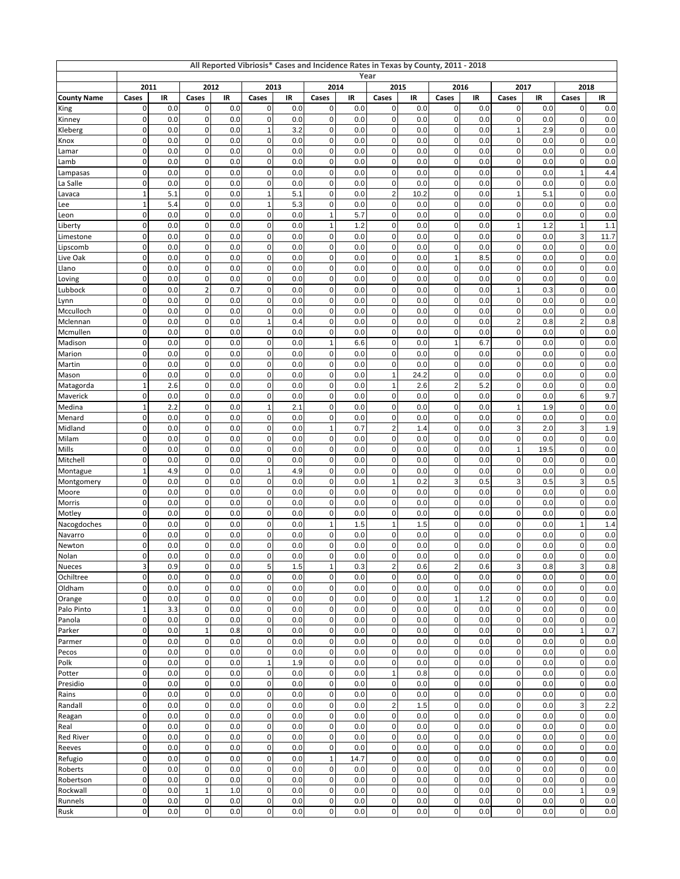| All Reported Vibriosis* Cases and Incidence Rates in Texas by County, 2011 - 2018<br>Year |                             |            |                  |            |                               |            |                             |            |                                 |            |                            |            |                             |            |                              |             |
|-------------------------------------------------------------------------------------------|-----------------------------|------------|------------------|------------|-------------------------------|------------|-----------------------------|------------|---------------------------------|------------|----------------------------|------------|-----------------------------|------------|------------------------------|-------------|
|                                                                                           | 2011<br>2012                |            |                  |            | 2013                          |            |                             | 2014       |                                 | 2015       | 2016                       |            |                             | 2017       | 2018                         |             |
| <b>County Name</b>                                                                        | Cases                       | IR         | Cases            | IR         | Cases                         | IR         | Cases                       | IR         | Cases                           | IR         | Cases                      | IR         | Cases                       | IR         | Cases                        | IR          |
| King                                                                                      | 0                           | 0.0        | 0                | 0.0        | $\mathbf{0}$                  | 0.0        | $\pmb{0}$                   | 0.0        | $\pmb{0}$                       | 0.0        | $\pmb{0}$                  | 0.0        | 0                           | 0.0        | 0                            | 0.0         |
| Kinney                                                                                    | $\mathbf 0$                 | 0.0        | 0                | 0.0        | $\overline{0}$                | 0.0        | $\pmb{0}$                   | 0.0        | $\mathbf 0$                     | 0.0        | $\pmb{0}$                  | 0.0        | $\mathbf 0$                 | 0.0        | 0                            | 0.0         |
| Kleberg                                                                                   | 0<br>$\mathbf 0$            | 0.0<br>0.0 | 0<br>0           | 0.0<br>0.0 | $\mathbf{1}$<br>$\pmb{0}$     | 3.2<br>0.0 | $\mathbf 0$<br>$\mathbf 0$  | 0.0        | 0<br>$\pmb{0}$                  | 0.0<br>0.0 | $\pmb{0}$<br>$\mathbf 0$   | 0.0<br>0.0 | $\mathbf{1}$<br>$\mathbf 0$ | 2.9        | 0<br>0                       | 0.0         |
| Knox<br>Lamar                                                                             | $\mathbf 0$                 | 0.0        | 0                | 0.0        | $\pmb{0}$                     | 0.0        | $\mathbf 0$                 | 0.0<br>0.0 | $\mathbf 0$                     | 0.0        | 0                          | 0.0        | $\mathbf 0$                 | 0.0<br>0.0 | 0                            | 0.0<br>0.0  |
| Lamb                                                                                      | $\mathbf 0$                 | 0.0        | 0                | 0.0        | $\overline{0}$                | 0.0        | $\bf{0}$                    | 0.0        | $\mathbf 0$                     | 0.0        | $\mathsf 0$                | 0.0        | $\mathbf 0$                 | 0.0        | 0                            | 0.0         |
| Lampasas                                                                                  | $\mathbf 0$                 | 0.0        | 0                | 0.0        | $\overline{0}$                | 0.0        | $\pmb{0}$                   | 0.0        | $\mathbf 0$                     | 0.0        | $\pmb{0}$                  | 0.0        | $\mathbf 0$                 | 0.0        | $\mathbf{1}$                 | 4.4         |
| La Salle                                                                                  | 0                           | 0.0        | 0                | 0.0        | 0                             | 0.0        | $\mathbf 0$                 | 0.0        | 0                               | 0.0        | $\pmb{0}$                  | 0.0        | 0                           | 0.0        | 0                            | 0.0         |
| Lavaca                                                                                    | $\mathbf{1}$                | 5.1        | 0                | 0.0        | $\mathbf{1}$                  | 5.1        | $\mathbf 0$                 | 0.0        | $\sqrt{2}$                      | 10.2       | $\mathbf 0$                | 0.0        | $\mathbf{1}$                | 5.1        | 0                            | 0.0         |
| Lee                                                                                       | $\mathbf{1}$                | 5.4        | 0                | 0.0        | $\mathbf{1}$                  | 5.3        | $\mathbf 0$                 | 0.0        | $\pmb{0}$                       | 0.0        | $\pmb{0}$                  | 0.0        | $\pmb{0}$                   | 0.0        | 0                            | 0.0         |
| Leon                                                                                      | $\mathbf 0$                 | 0.0        | 0                | 0.0        | $\overline{0}$                | 0.0        | $\mathbf{1}$                | 5.7        | $\pmb{0}$                       | 0.0        | $\mathsf 0$                | 0.0        | $\mathbf 0$                 | 0.0        | 0                            | 0.0         |
| Liberty                                                                                   | $\mathbf 0$                 | 0.0        | 0<br>0           | 0.0        | $\overline{0}$                | 0.0        | $\mathbf{1}$                | 1.2        | $\mathbf 0$                     | 0.0        | $\pmb{0}$                  | 0.0        | $\mathbf{1}$                | 1.2        | $\mathbf{1}$                 | 1.1         |
| Limestone<br>Lipscomb                                                                     | 0<br>$\mathbf 0$            | 0.0<br>0.0 | 0                | 0.0<br>0.0 | $\pmb{0}$<br>$\mathbf 0$      | 0.0<br>0.0 | $\bf{0}$<br>$\mathbf 0$     | 0.0<br>0.0 | 0<br>$\pmb{0}$                  | 0.0<br>0.0 | $\pmb{0}$<br>$\mathbf 0$   | 0.0<br>0.0 | 0<br>$\mathbf 0$            | 0.0<br>0.0 | 3<br>$\mathbf 0$             | 11.7<br>0.0 |
| Live Oak                                                                                  | $\mathbf 0$                 | 0.0        | 0                | 0.0        | $\pmb{0}$                     | 0.0        | $\mathbf 0$                 | 0.0        | 0                               | 0.0        | $\mathbf{1}$               | 8.5        | $\mathbf 0$                 | 0.0        | 0                            | 0.0         |
| Llano                                                                                     | $\mathbf 0$                 | 0.0        | 0                | 0.0        | $\overline{0}$                | 0.0        | $\bf{0}$                    | 0.0        | $\pmb{0}$                       | 0.0        | $\mathsf 0$                | 0.0        | $\mathbf 0$                 | 0.0        | 0                            | 0.0         |
| Loving                                                                                    | $\mathbf 0$                 | 0.0        | 0                | 0.0        | $\mathbf 0$                   | 0.0        | $\mathbf 0$                 | 0.0        | $\mathbf 0$                     | 0.0        | $\pmb{0}$                  | 0.0        | $\mathbf 0$                 | 0.0        | 0                            | 0.0         |
| Lubbock                                                                                   | 0                           | 0.0        | 2                | 0.7        | 0                             | 0.0        | 0                           | 0.0        | 0                               | 0.0        | $\pmb{0}$                  | 0.0        | $\mathbf{1}$                | 0.3        | 0                            | 0.0         |
| Lynn                                                                                      | $\mathbf 0$                 | 0.0        | $\mathbf 0$      | 0.0        | $\mathbf 0$                   | 0.0        | $\mathbf 0$                 | 0.0        | 0                               | 0.0        | $\mathbf 0$                | 0.0        | 0                           | 0.0        | 0                            | 0.0         |
| Mcculloch                                                                                 | $\mathbf 0$                 | 0.0        | 0                | 0.0        | $\pmb{0}$                     | 0.0        | $\mathbf 0$                 | 0.0        | 0                               | 0.0        | $\pmb{0}$                  | 0.0        | $\pmb{0}$                   | 0.0        | 0                            | 0.0         |
| Mclennan                                                                                  | $\mathbf 0$                 | 0.0        | 0                | 0.0        | $\mathbf{1}$                  | 0.4        | $\bf{0}$                    | 0.0        | $\mathbf 0$                     | 0.0        | $\mathsf 0$                | 0.0        | $\overline{c}$              | 0.8        | $\overline{\mathbf{c}}$<br>0 | 0.8         |
| Mcmullen<br>Madison                                                                       | $\mathbf 0$<br>0            | 0.0<br>0.0 | 0<br>0           | 0.0<br>0.0 | $\overline{0}$<br>$\pmb{0}$   | 0.0<br>0.0 | $\pmb{0}$<br>$\mathbf{1}$   | 0.0<br>6.6 | $\mathbf 0$<br>$\pmb{0}$        | 0.0<br>0.0 | $\pmb{0}$<br>$\mathbf{1}$  | 0.0<br>6.7 | $\mathbf 0$<br>0            | 0.0<br>0.0 | 0                            | 0.0<br>0.0  |
| Marion                                                                                    | $\mathbf 0$                 | 0.0        | $\mathbf 0$      | 0.0        | $\mathbf 0$                   | 0.0        | $\mathbf 0$                 | 0.0        | 0                               | 0.0        | $\mathbf 0$                | 0.0        | $\overline{0}$              | 0.0        | 0                            | 0.0         |
| Martin                                                                                    | $\mathbf 0$                 | 0.0        | 0                | 0.0        | $\pmb{0}$                     | 0.0        | $\mathbf 0$                 | 0.0        | 0                               | 0.0        | $\pmb{0}$                  | 0.0        | $\pmb{0}$                   | 0.0        | 0                            | 0.0         |
| Mason                                                                                     | $\mathbf 0$                 | 0.0        | 0                | 0.0        | $\mathbf 0$                   | 0.0        | $\mathbf 0$                 | 0.0        | $\mathbf{1}$                    | 24.2       | $\mathsf 0$                | 0.0        | $\mathbf 0$                 | 0.0        | 0                            | 0.0         |
| Matagorda                                                                                 | $\overline{1}$              | 2.6        | 0                | 0.0        | $\overline{0}$                | 0.0        | $\pmb{0}$                   | 0.0        | $\mathbf{1}$                    | 2.6        | $\mathbf 2$                | 5.2        | $\mathbf 0$                 | 0.0        | 0                            | 0.0         |
| Maverick                                                                                  | 0                           | 0.0        | 0                | 0.0        | $\pmb{0}$                     | 0.0        | $\mathbf 0$                 | 0.0        | 0                               | 0.0        | 0                          | 0.0        | $\pmb{0}$                   | 0.0        | 6                            | 9.7         |
| Medina                                                                                    | 1                           | 2.2        | $\mathbf 0$      | 0.0        | $\mathbf{1}$                  | 2.1        | $\mathbf 0$                 | 0.0        | 0                               | 0.0        | $\mathbf 0$                | 0.0        | $\mathbf{1}$                | 1.9        | 0                            | 0.0         |
| Menard                                                                                    | $\mathbf 0$                 | 0.0        | 0                | 0.0        | $\pmb{0}$                     | 0.0        | $\mathbf 0$                 | 0.0        | 0                               | 0.0        | $\pmb{0}$                  | 0.0        | $\mathbf 0$                 | 0.0        | 0                            | 0.0         |
| Midland<br>Milam                                                                          | $\mathbf 0$<br>$\mathbf 0$  | 0.0<br>0.0 | 0<br>0           | 0.0<br>0.0 | $\overline{0}$<br>$\mathbf 0$ | 0.0<br>0.0 | $\mathbf{1}$<br>$\pmb{0}$   | 0.7<br>0.0 | $\boldsymbol{2}$<br>$\mathbf 0$ | 1.4<br>0.0 | $\mathsf 0$<br>$\mathsf 0$ | 0.0<br>0.0 | 3<br>$\mathbf 0$            | 2.0<br>0.0 | 3<br>0                       | 1.9<br>0.0  |
| Mills                                                                                     | 0                           | 0.0        | 0                | 0.0        | 0                             | 0.0        | $\mathbf 0$                 | 0.0        | 0                               | 0.0        | $\pmb{0}$                  | 0.0        | $\mathbf{1}$                | 19.5       | 0                            | 0.0         |
| Mitchell                                                                                  | $\mathbf 0$                 | 0.0        | $\mathbf 0$      | 0.0        | $\mathbf 0$                   | 0.0        | $\mathbf 0$                 | 0.0        | 0                               | 0.0        | $\mathbf 0$                | 0.0        | $\mathbf 0$                 | 0.0        | 0                            | 0.0         |
| Montague                                                                                  | $\overline{1}$              | 4.9        | 0                | 0.0        | $\mathbf{1}$                  | 4.9        | $\mathbf 0$                 | 0.0        | 0                               | 0.0        | $\pmb{0}$                  | 0.0        | $\pmb{0}$                   | 0.0        | 0                            | 0.0         |
| Montgomery                                                                                | $\mathbf 0$                 | 0.0        | 0                | 0.0        | $\overline{0}$                | 0.0        | $\bf{0}$                    | 0.0        | $\mathbf{1}$                    | 0.2        | $\ensuremath{\mathsf{3}}$  | 0.5        | 3                           | 0.5        | 3                            | 0.5         |
| Moore                                                                                     | $\mathbf 0$                 | 0.0        | 0                | 0.0        | $\mathbf 0$                   | 0.0        | $\pmb{0}$                   | 0.0        | $\mathbf 0$                     | 0.0        | $\pmb{0}$                  | 0.0        | $\pmb{0}$                   | 0.0        | 0                            | 0.0         |
| Morris                                                                                    | $\mathbf 0$                 | 0.0        | 0                | 0.0        | $\pmb{0}$                     | 0.0        | $\mathbf 0$                 | 0.0        | 0                               | 0.0        | $\pmb{0}$                  | 0.0        | $\pmb{0}$                   | 0.0        | $\pmb{0}$                    | 0.0         |
| Motley                                                                                    | $\mathbf 0$<br>$\mathbf 0$  | 0.0<br>0.0 | $\mathbf 0$<br>0 | 0.0<br>0.0 | $\mathbf 0$<br>0              | 0.0<br>0.0 | $\mathbf 0$<br>$\mathbf{1}$ | 0.0<br>1.5 | 0<br>1                          | 0.0<br>1.5 | $\mathbf 0$<br>$\pmb{0}$   | 0.0<br>0.0 | 0<br>$\mathbf 0$            | 0.0<br>0.0 | 0<br>1                       | 0.0<br>1.4  |
| Nacogdoches<br>Navarro                                                                    | $\mathbf 0$                 | 0.0        | 0                | 0.0        | $\overline{0}$                | 0.0        | $\bf{0}$                    | 0.0        | $\pmb{0}$                       | 0.0        | $\mathsf 0$                | 0.0        | $\mathbf 0$                 | 0.0        | 0                            | 0.0         |
| Newton                                                                                    | 0                           | 0.0        | 0                | 0.0        | $\mathbf 0$                   | 0.0        | $\mathbf 0$                 | 0.0        | $\mathbf 0$                     | 0.0        | $\pmb{0}$                  | 0.0        | $\mathbf 0$                 | 0.0        | $\mathbf 0$                  | 0.0         |
| Nolan                                                                                     | 0                           | 0.0        | 0                | 0.0        | $\overline{0}$                | 0.0        | $\mathbf 0$                 | 0.0        | $\mathbf 0$                     | 0.0        | $\pmb{0}$                  | 0.0        | 0                           | 0.0        | $\overline{0}$               | 0.0         |
| <b>Nueces</b>                                                                             | 3                           | 0.9        | 0                | 0.0        | 5                             | 1.5        | $\mathbf{1}$                | 0.3        | $\sqrt{2}$                      | 0.6        | $\sqrt{2}$                 | 0.6        | 3                           | 0.8        | 3                            | 0.8         |
| Ochiltree                                                                                 | $\mathbf 0$                 | 0.0        | 0                | 0.0        | $\mathbf{0}$                  | 0.0        | 0                           | 0.0        | $\mathbf 0$                     | 0.0        | $\mathsf 0$                | 0.0        | $\mathbf 0$                 | 0.0        | 0                            | 0.0         |
| Oldham                                                                                    | $\mathbf 0$                 | 0.0        | 0                | 0.0        | $\mathbf 0$                   | 0.0        | $\pmb{0}$                   | 0.0        | $\mathbf 0$                     | 0.0        | $\mathbf 0$                | 0.0        | $\mathbf 0$                 | 0.0        | $\pmb{0}$                    | 0.0         |
| Orange                                                                                    | $\mathbf 0$                 | 0.0        | 0                | 0.0        | $\overline{0}$                | 0.0        | $\pmb{0}$                   | 0.0        | $\mathbf 0$                     | 0.0        | $\mathbf{1}$               | 1.2        | $\pmb{0}$                   | 0.0        | $\mathbf 0$                  | 0.0         |
| Palo Pinto<br>Panola                                                                      | $\mathbf{1}$<br>$\mathbf 0$ | 3.3<br>0.0 | 0<br>$\mathbf 0$ | 0.0<br>0.0 | $\overline{0}$<br>$\mathbf 0$ | 0.0<br>0.0 | $\mathbf 0$<br>$\mathbf 0$  | 0.0<br>0.0 | $\pmb{0}$<br>$\pmb{0}$          | 0.0<br>0.0 | $\pmb{0}$<br>$\mathbf 0$   | 0.0<br>0.0 | $\pmb{0}$<br>$\mathbf 0$    | 0.0<br>0.0 | $\mathbf 0$<br>$\mathbf 0$   | 0.0<br>0.0  |
| Parker                                                                                    | $\mathbf 0$                 | 0.0        | $\mathbf{1}$     | 0.8        | $\overline{0}$                | 0.0        | $\pmb{0}$                   | 0.0        | $\pmb{0}$                       | 0.0        | $\pmb{0}$                  | 0.0        | $\mathbf 0$                 | 0.0        | $\mathbf{1}$                 | 0.7         |
| Parmer                                                                                    | $\mathbf 0$                 | 0.0        | 0                | 0.0        | $\overline{0}$                | 0.0        | 0                           | 0.0        | $\pmb{0}$                       | 0.0        | $\mathbf 0$                | 0.0        | $\mathbf 0$                 | 0.0        | $\pmb{0}$                    | 0.0         |
| Pecos                                                                                     | $\mathbf 0$                 | 0.0        | 0                | 0.0        | $\mathbf 0$                   | 0.0        | $\pmb{0}$                   | 0.0        | $\mathbf 0$                     | 0.0        | $\pmb{0}$                  | 0.0        | $\pmb{0}$                   | 0.0        | $\pmb{0}$                    | 0.0         |
| Polk                                                                                      | $\mathbf 0$                 | 0.0        | 0                | 0.0        | $\mathbf{1}$                  | 1.9        | $\mathbf 0$                 | 0.0        | $\pmb{0}$                       | 0.0        | $\pmb{0}$                  | 0.0        | $\mathbf 0$                 | 0.0        | $\mathbf 0$                  | 0.0         |
| Potter                                                                                    | $\mathbf 0$                 | 0.0        | 0                | 0.0        | $\mathbf 0$                   | 0.0        | $\mathbf 0$                 | 0.0        | $\mathbf{1}$                    | 0.8        | $\mathbf 0$                | 0.0        | $\mathbf 0$                 | 0.0        | $\mathbf 0$                  | 0.0         |
| Presidio                                                                                  | $\mathbf 0$                 | 0.0        | 0                | 0.0        | $\overline{0}$                | 0.0        | $\pmb{0}$                   | 0.0        | $\pmb{0}$                       | 0.0        | $\pmb{0}$                  | 0.0        | $\mathbf 0$                 | 0.0        | 0                            | 0.0         |
| Rains                                                                                     | $\mathbf 0$                 | 0.0        | 0                | 0.0        | $\mathbf 0$                   | 0.0        | $\mathbf 0$                 | 0.0        | $\mathbf 0$                     | 0.0        | $\mathbf 0$                | 0.0        | $\mathbf 0$                 | 0.0        | $\pmb{0}$                    | 0.0         |
| Randall<br>Reagan                                                                         | $\mathbf 0$<br>$\mathbf 0$  | 0.0<br>0.0 | 0<br>0           | 0.0<br>0.0 | $\mathbf 0$<br>$\overline{0}$ | 0.0<br>0.0 | $\pmb{0}$<br>$\mathbf 0$    | 0.0<br>0.0 | $\boldsymbol{2}$<br>$\pmb{0}$   | 1.5<br>0.0 | $\mathsf 0$<br>$\pmb{0}$   | 0.0<br>0.0 | $\pmb{0}$<br>$\pmb{0}$      | 0.0<br>0.0 | 3<br>$\mathbf 0$             | 2.2<br>0.0  |
| Real                                                                                      | $\mathbf 0$                 | 0.0        | 0                | 0.0        | $\mathbf 0$                   | 0.0        | $\mathbf 0$                 | 0.0        | $\pmb{0}$                       | 0.0        | $\mathbf 0$                | 0.0        | $\mathbf 0$                 | 0.0        | $\mathbf 0$                  | 0.0         |
| <b>Red River</b>                                                                          | $\mathbf 0$                 | 0.0        | 0                | 0.0        | $\overline{0}$                | 0.0        | $\pmb{0}$                   | 0.0        | $\pmb{0}$                       | 0.0        | $\mathbf 0$                | 0.0        | $\pmb{0}$                   | 0.0        | 0                            | 0.0         |
| Reeves                                                                                    | $\mathbf 0$                 | 0.0        | 0                | 0.0        | $\mathbf 0$                   | 0.0        | $\pmb{0}$                   | 0.0        | $\mathbf 0$                     | 0.0        | $\mathbf 0$                | 0.0        | $\mathbf 0$                 | 0.0        | $\pmb{0}$                    | 0.0         |
| Refugio                                                                                   | $\mathbf 0$                 | 0.0        | 0                | 0.0        | $\mathbf 0$                   | 0.0        | $\mathbf{1}$                | 14.7       | $\mathbf 0$                     | 0.0        | $\mathbf 0$                | 0.0        | $\pmb{0}$                   | 0.0        | $\mathbf 0$                  | 0.0         |
| Roberts                                                                                   | $\mathbf 0$                 | 0.0        | 0                | 0.0        | $\pmb{0}$                     | 0.0        | $\bf{0}$                    | 0.0        | $\pmb{0}$                       | 0.0        | $\mathsf 0$                | 0.0        | $\mathbf 0$                 | 0.0        | $\mathbf 0$                  | 0.0         |
| Robertson                                                                                 | $\mathbf 0$                 | 0.0        | 0                | 0.0        | $\mathbf 0$                   | 0.0        | 0                           | 0.0        | $\pmb{0}$                       | 0.0        | $\mathsf 0$                | 0.0        | $\mathbf 0$                 | 0.0        | $\mathbf 0$                  | 0.0         |
| Rockwall                                                                                  | $\mathbf 0$                 | 0.0        | $\mathbf 1$      | 1.0        | $\overline{0}$                | 0.0        | $\pmb{0}$                   | 0.0        | $\pmb{0}$                       | 0.0        | $\mathbf 0$                | 0.0        | $\mathbf 0$                 | 0.0        | $\mathbf{1}$                 | 0.9         |
| Runnels                                                                                   | $\mathbf 0$                 | 0.0        | 0                | 0.0        | $\mathbf 0$                   | 0.0        | $\pmb{0}$                   | 0.0        | $\pmb{0}$                       | 0.0        | $\mathbf 0$                | 0.0        | $\mathbf 0$                 | 0.0        | $\pmb{0}$                    | 0.0         |
| Rusk                                                                                      | $\pmb{0}$                   | 0.0        | $\mathbf{0}$     | 0.0        | $\overline{0}$                | 0.0        | 0                           | 0.0        | $\overline{0}$                  | 0.0        | $\overline{0}$             | 0.0        | $\mathbf 0$                 | 0.0        | $\mathsf{o}\xspace$          | $0.0\,$     |